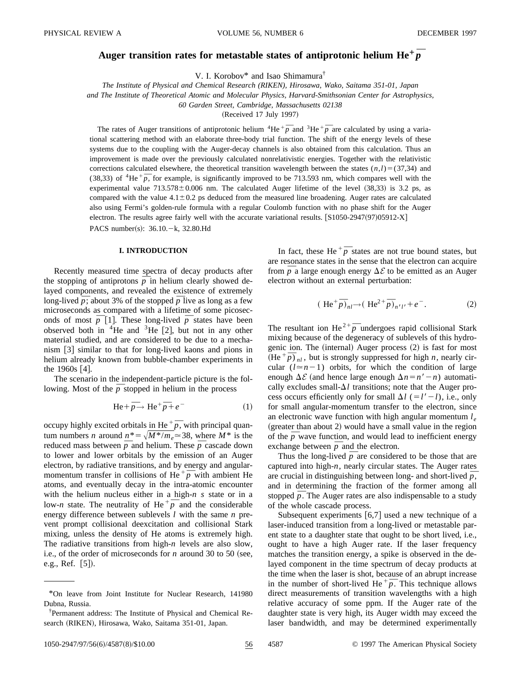# Auger transition rates for metastable states of antiprotonic helium  $\mathrm{He}^+\bar{p}$

V. I. Korobov\* and Isao Shimamura†

*The Institute of Physical and Chemical Research (RIKEN), Hirosawa, Wako, Saitama 351-01, Japan and The Institute of Theoretical Atomic and Molecular Physics, Harvard-Smithsonian Center for Astrophysics,*

*60 Garden Street, Cambridge, Massachusetts 02138*

 $(Received 17 July 1997)$ 

The rates of Auger transitions of antiprotonic helium  ${}^{4}$ He  ${}^{+}\bar{p}$  and  ${}^{3}$ He  ${}^{+}\bar{p}$  are calculated by using a variational scattering method with an elaborate three-body trial function. The shift of the energy levels of these systems due to the coupling with the Auger-decay channels is also obtained from this calculation. Thus an improvement is made over the previously calculated nonrelativistic energies. Together with the relativistic corrections calculated elsewhere, the theoretical transition wavelength between the states  $(n,l)$ =(37,34) and corrections calculated eisewhere, the theoretical transition wavelength between the states  $(n, t) = (37,34)$  and (38,33) of <sup>4</sup>He<sup>+</sup> $\overline{p}$ , for example, is significantly improved to be 713.593 nm, which compares well with experimental value  $713.578 \pm 0.006$  nm. The calculated Auger lifetime of the level  $(38,33)$  is 3.2 ps, as compared with the value  $4.1 \pm 0.2$  ps deduced from the measured line broadening. Auger rates are calculated also using Fermi's golden-rule formula with a regular Coulomb function with no phase shift for the Auger electron. The results agree fairly well with the accurate variational results.  $\left[ \frac{\text{S}}{1050\text{-}2947(97)} \right]$ 05912-X $\left]$ PACS number(s):  $36.10 - k$ , 32.80.Hd

### **I. INTRODUCTION**

Recently measured time spectra of decay products after Recently measured time spectra of decay products after<br>the stopping of antiprotons  $\overline{p}$  in helium clearly showed delayed components, and revealed the existence of extremely layed components, and revealed the existence of extremely<br>long-lived  $\bar{p}$ ; about 3% of the stopped  $\bar{p}$  live as long as a few microseconds as compared with a lifetime of some picosecmicroseconds as compared with a lifetime of some picoseconds of most  $\overline{p}$  [1]. These long-lived  $\overline{p}$  states have been observed both in <sup>4</sup>He and <sup>3</sup>He [2], but not in any other material studied, and are considered to be due to a mechanism  $\lceil 3 \rceil$  similar to that for long-lived kaons and pions in helium already known from bubble-chamber experiments in the  $1960s$  [4].

The scenario in the independent-particle picture is the fol-In the scenario in the independent-particle picture is the lowing. Most of the  $\bar{p}$  stopped in helium in the process

$$
\text{He} + \overline{p} \to \text{He}^+ \overline{p} + e^- \tag{1}
$$

occupy highly excited orbitals in He  $^+\bar{p}$ , with principal quantum numbers *n* around  $n^* = \sqrt{M^*/m_e} \approx 38$ , where  $M^*$  is the tum numbers *n* around  $n^* = \sqrt{M^*/m_e} \approx 38$ , where  $M^*$  is the reduced mass between  $\overline{p}$  and helium. These  $\overline{p}$  cascade down to lower and lower orbitals by the emission of an Auger electron, by radiative transitions, and by energy and angularelectron, by radiative transitions, and by energy and angular-<br>momentum transfer in collisions of  $He^{+}\bar{p}$  with ambient He atoms, and eventually decay in the intra-atomic encounter with the helium nucleus either in a high-*n s* state or in a with the helium nucleus either in a high-*n s* state or in a<br>low-*n* state. The neutrality of He  $\frac{+}{p}$  and the considerable energy difference between sublevels *l* with the same *n* prevent prompt collisional deexcitation and collisional Stark mixing, unless the density of He atoms is extremely high. The radiative transitions from high-*n* levels are also slow, i.e., of the order of microseconds for *n* around 30 to 50 (see, e.g., Ref.  $[5]$ .

In fact, these He<sup> $+$ </sup> $\overline{p}$  states are not true bound states, but are resonance states in the sense that the electron can acquire are resonance states in the sense that the electron can acquire<br>from  $\overline{p}$  a large enough energy  $\Delta \mathcal{E}$  to be emitted as an Auger electron without an external perturbation:

$$
(\text{He}^+\bar{p})_{nl} \to (\text{He}^{2+}\bar{p})_{n'l'} + e^-.
$$
 (2)

The resultant ion  $\text{He}^{2+} \overline{p}$  undergoes rapid collisional Stark mixing because of the degeneracy of sublevels of this hydrogenic ion. The  $(internal)$  Auger process  $(2)$  is fast for most genic ion. The (internal) Auger process (2) is fast for most  $(He^+ \bar{p})_{nl}$ , but is strongly suppressed for high *n*, nearly circular  $(l \approx n-1)$  orbits, for which the condition of large enough  $\Delta \mathcal{E}$  (and hence large enough  $\Delta n = n' - n$ ) automatically excludes small- $\Delta l$  transitions; note that the Auger process occurs efficiently only for small  $\Delta l$  (= $l'$  – *l*), i.e., only for small angular-momentum transfer to the electron, since an electronic wave function with high angular momentum  $l_e$  $(greatest than about 2)$  would have a small value in the region (greater than about 2) would have a small value in the region<br>of the  $\bar{p}$  wave function, and would lead to inefficient energy of the *p* wave function, and would lead<br>exchange between  $\bar{p}$  and the electron.

Thus the long-lived  $\bar{p}$  are considered to be those that are captured into high-*n*, nearly circular states. The Auger rates captured into high-*n*, nearly circular states. The Auger rates are crucial in distinguishing between long- and short-lived  $\bar{p}$ , and in determining the fraction of the former among all and in determining the fraction of the former among all<br>stopped  $\bar{p}$ . The Auger rates are also indispensable to a study of the whole cascade process.

Subsequent experiments  $[6,7]$  used a new technique of a laser-induced transition from a long-lived or metastable parent state to a daughter state that ought to be short lived, i.e., ought to have a high Auger rate. If the laser frequency matches the transition energy, a spike is observed in the delayed component in the time spectrum of decay products at the time when the laser is shot, because of an abrupt increase the time when the laser is shot, because of an abrupt increase<br>in the number of short-lived He  $\frac{+}{p}$ . This technique allows direct measurements of transition wavelengths with a high relative accuracy of some ppm. If the Auger rate of the daughter state is very high, its Auger width may exceed the laser bandwidth, and may be determined experimentally

1050-2947/97/56(6)/4587(8)/\$10.00 56 4587 © 1997 The American Physical Society

<sup>\*</sup>On leave from Joint Institute for Nuclear Research, 141980 Dubna, Russia.

<sup>†</sup> Permanent address: The Institute of Physical and Chemical Research (RIKEN), Hirosawa, Wako, Saitama 351-01, Japan.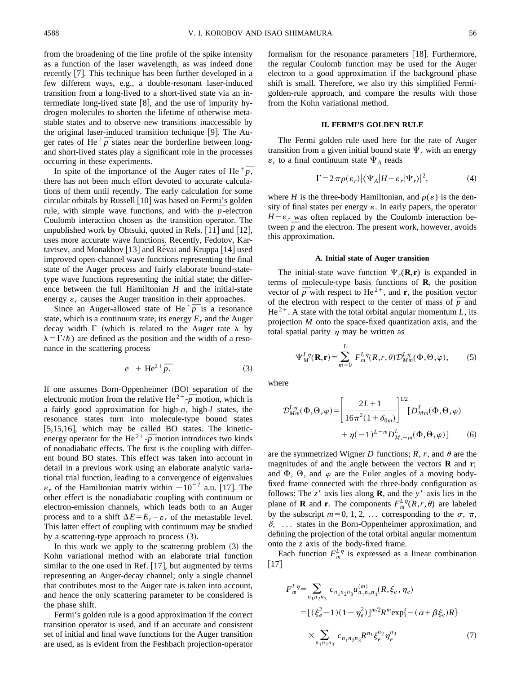from the broadening of the line profile of the spike intensity as a function of the laser wavelength, as was indeed done recently [7]. This technique has been further developed in a few different ways, e.g., a double-resonant laser-induced transition from a long-lived to a short-lived state via an intermediate long-lived state  $[8]$ , and the use of impurity hydrogen molecules to shorten the lifetime of otherwise metastable states and to observe new transitions inaccessible by the original laser-induced transition technique  $[9]$ . The Authe original laser-induced transition technique [9]. The Auger rates of He  $\frac{+}{\rho}$  states near the borderline between longand short-lived states play a significant role in the processes occurring in these experiments.

Unity in these experiments.<br>In spite of the importance of the Auger rates of He  $^+\bar{p}$ , there has not been much effort devoted to accurate calculations of them until recently. The early calculation for some circular orbitals by Russell  $[10]$  was based on Fermi's golden circular orbitals by Russell [10] was based on Fermi's golden<br>rule, with simple wave functions, and with the  $\bar{p}$ -electron Coulomb interaction chosen as the transition operator. The unpublished work by Ohtsuki, quoted in Refs.  $[11]$  and  $[12]$ , uses more accurate wave functions. Recently, Fedotov, Kartavtsev, and Monakhov  $[13]$  and Révai and Kruppa  $[14]$  used improved open-channel wave functions representing the final state of the Auger process and fairly elaborate bound-statetype wave functions representing the initial state; the difference between the full Hamiltonian *H* and the initial-state energy  $\varepsilon_r$  causes the Auger transition in their approaches.

Figy  $\varepsilon_r$  causes the Auger transition in their approaches.<br>Since an Auger-allowed state of He  $^+\overline{p}$  is a resonance state, which is a continuum state, its energy  $E_r$  and the Auger decay width  $\Gamma$  (which is related to the Auger rate  $\lambda$  by  $\lambda = \Gamma/\hbar$ ) are defined as the position and the width of a resonance in the scattering process

$$
e^- + \text{He}^{2+} \overline{p}.\tag{3}
$$

If one assumes Born-Oppenheimer (BO) separation of the It one assumes Born-Oppenheimer (BO) separation of the electronic motion from the relative He<sup>2+</sup> $\overline{p}$  motion, which is a fairly good approximation for high-*n*, high-*l* states, the resonance states turn into molecule-type bound states [5,15,16], which may be called BO states. The kinetic-<br>energy operator for the He<sup>2+</sup>- $\overline{p}$  motion introduces two kinds of nonadiabatic effects. The first is the coupling with different bound BO states. This effect was taken into account in detail in a previous work using an elaborate analytic variational trial function, leading to a convergence of eigenvalues  $\varepsilon_r$  of the Hamiltonian matrix within  $\sim 10^{-7}$  a.u. [17]. The other effect is the nonadiabatic coupling with continuum or electron-emission channels, which leads both to an Auger process and to a shift  $\Delta E = E_r - \varepsilon_r$  of the metastable level. This latter effect of coupling with continuum may be studied by a scattering-type approach to process  $(3)$ .

In this work we apply to the scattering problem  $(3)$  the Kohn variational method with an elaborate trial function similar to the one used in Ref.  $[17]$ , but augmented by terms representing an Auger-decay channel; only a single channel that contributes most to the Auger rate is taken into account, and hence the only scattering parameter to be considered is the phase shift.

Fermi's golden rule is a good approximation if the correct transition operator is used, and if an accurate and consistent set of initial and final wave functions for the Auger transition are used, as is evident from the Feshbach projection-operator formalism for the resonance parameters  $[18]$ . Furthermore, the regular Coulomb function may be used for the Auger electron to a good approximation if the background phase shift is small. Therefore, we also try this simplified Fermigolden-rule approach, and compare the results with those from the Kohn variational method.

## **II. FERMI'S GOLDEN RULE**

The Fermi golden rule used here for the rate of Auger transition from a given initial bound state  $\Psi_r$  with an energy  $\varepsilon_r$  to a final continuum state  $\Psi_A$  reads

$$
\Gamma = 2\pi \rho(\varepsilon_r) |\langle \Psi_A | H - \varepsilon_r | \Psi_r \rangle|^2, \tag{4}
$$

where *H* is the three-body Hamiltonian, and  $\rho(\varepsilon)$  is the density of final states per energy  $\varepsilon$ . In early papers, the operator  $H - \varepsilon_r$  was often replaced by the Coulomb interaction be- $H - \varepsilon_r$  was often replaced by the Coulomb interaction be-<br>tween  $\bar{p}$  and the electron. The present work, however, avoids this approximation.

#### **A. Initial state of Auger transition**

The initial-state wave function  $\Psi_r(\mathbf{R}, \mathbf{r})$  is expanded in terms of molecule-type basis functions of **R**, the position terms of molecule-type basis functions of **K**, the position vector of  $\overline{p}$  with respect to He<sup>2+</sup>, and **r**, the position vector vector of *p* with respect to He<sup> $2$ </sup>, and **r**, the position vector of the electron with respect to the center of mass of  $\bar{p}$  and  $He^{2+}$ . A state with the total orbital angular momentum *L*, its projection *M* onto the space-fixed quantization axis, and the total spatial parity  $\eta$  may be written as

$$
\Psi_M^{L\eta}(\mathbf{R}, \mathbf{r}) = \sum_{m=0}^L F_m^{L\eta}(R, r, \theta) \mathcal{D}_{Mm}^{L\eta}(\Phi, \Theta, \varphi), \tag{5}
$$

where

$$
\mathcal{D}_{Mm}^{L\eta}(\Phi,\Theta,\varphi) = \left[\frac{2L+1}{16\pi^2(1+\delta_{0m})}\right]^{1/2} [D_{Mm}^L(\Phi,\Theta,\varphi) + \eta(-1)^{L-m} D_{M,-m}^L(\Phi,\Theta,\varphi)] \tag{6}
$$

are the symmetrized Wigner *D* functions;  $R$ ,  $r$ , and  $\theta$  are the magnitudes of and the angle between the vectors **R** and **r**; and  $\Phi$ ,  $\Theta$ , and  $\varphi$  are the Euler angles of a moving bodyfixed frame connected with the three-body configuration as follows: The  $z<sup>7</sup>$  axis lies along **R**, and the *y*<sup> $7$ </sup> axis lies in the plane of **R** and **r**. The components  $F_m^L$ <sup> $\eta$ </sup> $(R, r, \theta)$  are labeled by the subscript  $m=0, 1, 2, \ldots$  corresponding to the  $\sigma$ ,  $\pi$ ,  $\delta$ , ... states in the Born-Oppenheimer approximation, and defining the projection of the total orbital angular momentum onto the *z* axis of the body-fixed frame.

Each function  $F_m^L$ <sup> $\eta$ </sup> is expressed as a linear combination  $\lceil 17 \rceil$ 

$$
F_m^{L\eta} = \sum_{n_1 n_2 n_3} c_{n_1 n_2 n_3} u_{n_1 n_2 n_3}^{(m)}(R, \xi_e, \eta_e)
$$
  
= 
$$
[ (\xi_e^2 - 1)(1 - \eta_e^2) ]^{m/2} R^m \exp\{ - (\alpha + \beta \xi_e) R \}
$$
  

$$
\times \sum_{n_1 n_2 n_3} c_{n_1 n_2 n_3} R^{n_1} \xi_e^{n_2} \eta_e^{n_3}
$$
 (7)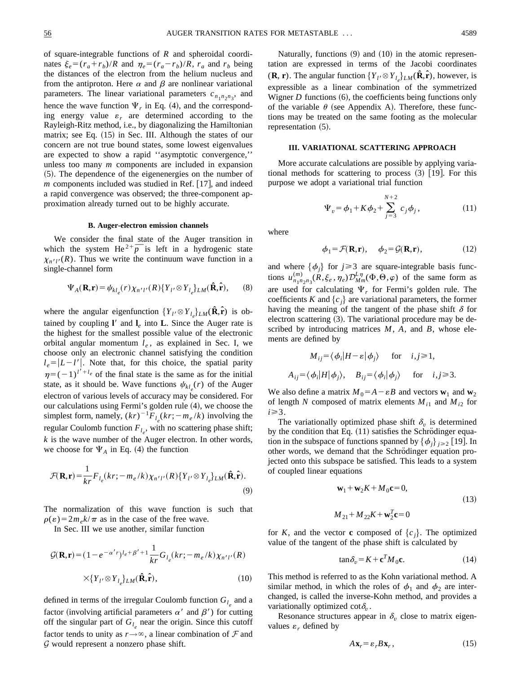of square-integrable functions of *R* and spheroidal coordinates  $\xi_e = (r_a + r_b)/R$  and  $\eta_e = (r_a - r_b)/R$ ,  $r_a$  and  $r_b$  being the distances of the electron from the helium nucleus and from the antiproton. Here  $\alpha$  and  $\beta$  are nonlinear variational parameters. The linear variational parameters  $c_{n_1 n_2 n_3}$ , and hence the wave function  $\Psi_r$  in Eq. (4), and the corresponding energy value  $\varepsilon_r$  are determined according to the Rayleigh-Ritz method, i.e., by diagonalizing the Hamiltonian matrix; see Eq.  $(15)$  in Sec. III. Although the states of our concern are not true bound states, some lowest eigenvalues are expected to show a rapid ''asymptotic convergence,'' unless too many *m* components are included in expansion  $(5)$ . The dependence of the eigenenergies on the number of  *components included was studied in Ref.*  $[17]$ *, and indeed* a rapid convergence was observed; the three-component approximation already turned out to be highly accurate.

## **B. Auger-electron emission channels**

We consider the final state of the Auger transition in We consider the final state of the Auger transition in<br>which the system  $He^{2+}p^-$  is left in a hydrogenic state  $\chi_{n'l'}(R)$ . Thus we write the continuum wave function in a single-channel form

$$
\Psi_A(\mathbf{R}, \mathbf{r}) = \psi_{kl_e}(r) \chi_{n'l'}(R) \{ Y_{l'} \otimes Y_{l_e} \}_{LM}(\hat{\mathbf{R}}, \hat{\mathbf{r}}), \qquad (8)
$$

where the angular eigenfunction  $\{Y_{l'} \otimes Y_{l_e}\}_{LM}(\hat{\mathbf{R}}, \hat{\mathbf{r}})$  is obtained by coupling  $\mathbf{l}'$  and  $\mathbf{l}_e$  into **L**. Since the Auger rate is the highest for the smallest possible value of the electronic orbital angular momentum  $l_e$ , as explained in Sec. I, we choose only an electronic channel satisfying the condition  $l_e = |L - l'|$ . Note that, for this choice, the spatial parity  $\eta=(-1)^{l'+l_e}$  of the final state is the same as for the initial state, as it should be. Wave functions  $\psi_{kl_e}(r)$  of the Auger electron of various levels of accuracy may be considered. For our calculations using Fermi's golden rule  $(4)$ , we choose the simplest form, namely,  $(kr)^{-1}F_{l_e}(kr; -m_e/k)$  involving the regular Coulomb function  $F_{l_e}$ , with no scattering phase shift; *k* is the wave number of the Auger electron. In other words, we choose for  $\Psi_A$  in Eq. (4) the function

$$
\mathcal{F}(\mathbf{R}, \mathbf{r}) = \frac{1}{kr} F_{l_e}(kr; -m_e/k) \chi_{n'l'}(R) \{ Y_{l'} \otimes Y_{l_e} \}_{LM}(\hat{\mathbf{R}}, \hat{\mathbf{r}}).
$$
\n(9)

The normalization of this wave function is such that  $\rho(\varepsilon) = 2m_e k/\pi$  as in the case of the free wave.

In Sec. III we use another, similar function

$$
\mathcal{G}(\mathbf{R}, \mathbf{r}) = (1 - e^{-\alpha' r})^{l_e + \beta' + 1} \frac{1}{kr} G_{l_e}(kr; -m_e/k) \chi_{n'l'}(R)
$$

$$
\times \{Y_{l'} \otimes Y_{l_e}\}_{LM}(\hat{\mathbf{R}}, \hat{\mathbf{r}}), \tag{10}
$$

defined in terms of the irregular Coulomb function  $G_l$  and a factor (involving artificial parameters  $\alpha'$  and  $\beta'$ ) for cutting off the singular part of  $G_{l_a}$  near the origin. Since this cutoff factor tends to unity as  $r \rightarrow \infty$ , a linear combination of  $\mathcal F$  and *G* would represent a nonzero phase shift.

Naturally, functions  $(9)$  and  $(10)$  in the atomic representation are expressed in terms of the Jacobi coordinates  $({\bf R}, {\bf r})$ . The angular function  $\{Y_{l'} \otimes Y_{l_e}\}_{LM}(\hat{\bf R}, \hat{\bf r})$ , however, is expressible as a linear combination of the symmetrized Wigner  $D$  functions  $(6)$ , the coefficients being functions only of the variable  $\theta$  (see Appendix A). Therefore, these functions may be treated on the same footing as the molecular representation  $(5)$ .

#### **III. VARIATIONAL SCATTERING APPROACH**

More accurate calculations are possible by applying variational methods for scattering to process  $(3)$  [19]. For this purpose we adopt a variational trial function

$$
\Psi_v = \phi_1 + K \phi_2 + \sum_{j=3}^{N+2} c_j \phi_j, \qquad (11)
$$

where

$$
\phi_1 = \mathcal{F}(\mathbf{R}, \mathbf{r}), \quad \phi_2 = \mathcal{G}(\mathbf{R}, \mathbf{r}), \tag{12}
$$

and where  $\{\phi_i\}$  for  $j \geq 3$  are square-integrable basis functions  $u_{n_1n_2n_3}^{(m)}(\tilde{R}, \xi_e, \eta_e) \mathcal{D}_{M_m}^{L\eta}(\Phi, \Theta, \varphi)$  of the same form as are used for calculating  $\Psi_r$  for Fermi's golden rule. The coefficients *K* and  $\{c_i\}$  are variational parameters, the former having the meaning of the tangent of the phase shift  $\delta$  for electron scattering  $(3)$ . The variational procedure may be described by introducing matrices *M*, *A*, and *B*, whose elements are defined by

$$
M_{ij} = \langle \phi_i | H - \varepsilon | \phi_j \rangle \quad \text{for} \quad i, j \ge 1,
$$
  

$$
A_{ij} = \langle \phi_i | H | \phi_j \rangle, \quad B_{ij} = \langle \phi_i | \phi_j \rangle \quad \text{for} \quad i, j \ge 3.
$$

We also define a matrix  $M_0 = A - \varepsilon B$  and vectors  $\mathbf{w}_1$  and  $\mathbf{w}_2$ of length *N* composed of matrix elements  $M_{i1}$  and  $M_{i2}$  for  $i \geq 3$ .

The variationally optimized phase shift  $\delta_{\nu}$  is determined by the condition that Eq.  $(11)$  satisfies the Schrödinger equation in the subspace of functions spanned by  $\{\phi_i\}_{i\geq 2}$  [19]. In other words, we demand that the Schrödinger equation projected onto this subspace be satisfied. This leads to a system of coupled linear equations

$$
\mathbf{w}_1 + \mathbf{w}_2 K + M_0 \mathbf{c} = 0,
$$
  
(13)  

$$
M_{21} + M_{22} K + \mathbf{w}_2^T \mathbf{c} = 0
$$

for *K*, and the vector **c** composed of  ${c_j}$ . The optimized value of the tangent of the phase shift is calculated by

$$
\tan \delta_v = K + \mathbf{c}^T M_0 \mathbf{c}.\tag{14}
$$

This method is referred to as the Kohn variational method. A similar method, in which the roles of  $\phi_1$  and  $\phi_2$  are interchanged, is called the inverse-Kohn method, and provides a variationally optimized  $\cot \delta$ .

Resonance structures appear in  $\delta_v$  close to matrix eigenvalues  $\varepsilon_r$  defined by

$$
A\mathbf{x}_r = \varepsilon_r B\mathbf{x}_r, \qquad (15)
$$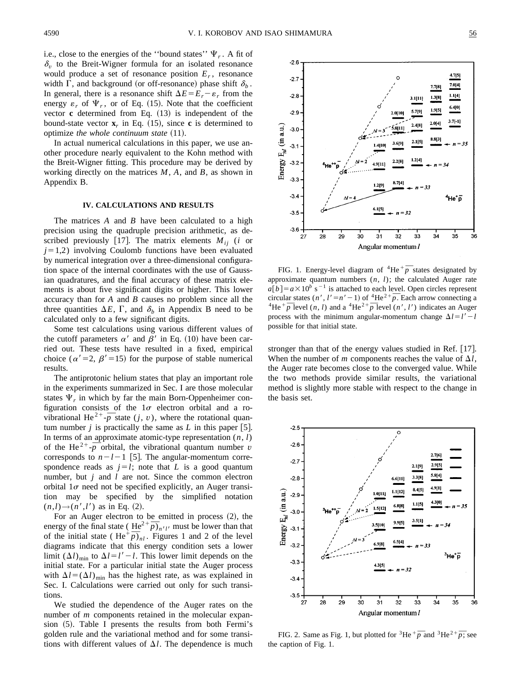i.e., close to the energies of the "bound states"  $\Psi_r$ . A fit of  $\delta_{v}$  to the Breit-Wigner formula for an isolated resonance would produce a set of resonance position  $E_r$ , resonance width  $\Gamma$ , and background (or off-resonance) phase shift  $\delta_b$ . In general, there is a resonance shift  $\Delta E = E_r - \varepsilon_r$  from the energy  $\varepsilon_r$  of  $\Psi_r$ , or of Eq. (15). Note that the coefficient vector  $\bf{c}$  determined from Eq.  $(13)$  is independent of the bound-state vector  $\mathbf{x}_r$  in Eq. (15), since **c** is determined to optimize *the whole continuum state* (11).

In actual numerical calculations in this paper, we use another procedure nearly equivalent to the Kohn method with the Breit-Wigner fitting. This procedure may be derived by working directly on the matrices *M*, *A*, and *B*, as shown in Appendix B.

## **IV. CALCULATIONS AND RESULTS**

The matrices *A* and *B* have been calculated to a high precision using the quadruple precision arithmetic, as described previously [17]. The matrix elements  $M_{ii}$  (*i* or  $j=1,2$ ) involving Coulomb functions have been evaluated by numerical integration over a three-dimensional configuration space of the internal coordinates with the use of Gaussian quadratures, and the final accuracy of these matrix elements is about five significant digits or higher. This lower accuracy than for *A* and *B* causes no problem since all the three quantities  $\Delta E$ ,  $\Gamma$ , and  $\delta$ <sub>b</sub> in Appendix B need to be calculated only to a few significant digits.

Some test calculations using various different values of the cutoff parameters  $\alpha'$  and  $\beta'$  in Eq. (10) have been carried out. These tests have resulted in a fixed, empirical choice ( $\alpha' = 2$ ,  $\beta' = 15$ ) for the purpose of stable numerical results.

The antiprotonic helium states that play an important role in the experiments summarized in Sec. I are those molecular states  $\Psi_r$  in which by far the main Born-Oppenheimer configuration consists of the  $1\sigma$  electron orbital and a ronguration consists of the  $I\sigma$  electron orbital and a ro-<br>vibrational He<sup>2+</sup>- $\overline{p}$  state  $(j, v)$ , where the rotational quantum number  $j$  is practically the same as  $L$  in this paper [5]. In terms of an approximate atomic-type representation  $(n, l)$ In terms of an approximate atomic-type representation  $(n, l)$ <br>of the He<sup>2+</sup>- $\overline{p}$  orbital, the vibrational quantum number *v* corresponds to  $n-l-1$  [5]. The angular-momentum correspondence reads as  $j=l$ ; note that *L* is a good quantum number, but *j* and *l* are not. Since the common electron orbital  $1\sigma$  need not be specified explicitly, an Auger transition may be specified by the simplified notation  $(n,l) \rightarrow (n',l')$  as in Eq. (2).

For an Auger electron to be emitted in process  $(2)$ , the For an Auger electron to be emitted in process (2), the energy of the final state ( $He^{2+} \overline{p}$ )<sub>*n'l'*</sub> must be lower than that energy of the final state ( $He^+ p_{n'l}$  must be lower than that of the initial state ( $He^+ \bar{p}_{n'l}$ ). Figures 1 and 2 of the level diagrams indicate that this energy condition sets a lower limit  $(\Delta l)_{\text{min}}$  to  $\Delta l = l' - l$ . This lower limit depends on the initial state. For a particular initial state the Auger process with  $\Delta l = (\Delta l)_{\text{min}}$  has the highest rate, as was explained in Sec. I. Calculations were carried out only for such transitions.

We studied the dependence of the Auger rates on the number of *m* components retained in the molecular expansion  $(5)$ . Table I presents the results from both Fermi's golden rule and the variational method and for some transitions with different values of  $\Delta l$ . The dependence is much



FIG. 1. Energy-level diagram of  ${}^{4}$ He ${}^{+}\overline{p}$  states designated by approximate quantum numbers (*n*, *l*); the calculated Auger rate  $a[b] = a \times 10^b$  s<sup>-1</sup> is attached to each level. Open circles represent  $a[p] = a \times 10^8 \text{ s}$  is attached to each level. Open circles represent<br>circular states  $(n', l' = n' - 1)$  of <sup>4</sup>He<sup>2+</sup> $\overline{p}$ . Each arrow connecting a circular states  $(n^2, l^2 = n^2 - 1)$  of  $n^2 + p$ . Each arrow connecting a  ${}^4He^2p$  level  $(n, l)$  and a  ${}^4He^{2+}p$  level  $(n', l')$  indicates an Auger process with the minimum angular-momentum change  $\Delta l = l' - l$ possible for that initial state.

stronger than that of the energy values studied in Ref. [17]. When the number of *m* components reaches the value of  $\Delta l$ , the Auger rate becomes close to the converged value. While the two methods provide similar results, the variational method is slightly more stable with respect to the change in the basis set.



FIG. 2. Same as Fig. 1, but plotted for <sup>3</sup>He<sup> $+$ </sup> $\overline{p}$  and <sup>3</sup>He<sup>2+</sup> $\overline{p}$ ; see the caption of Fig. 1.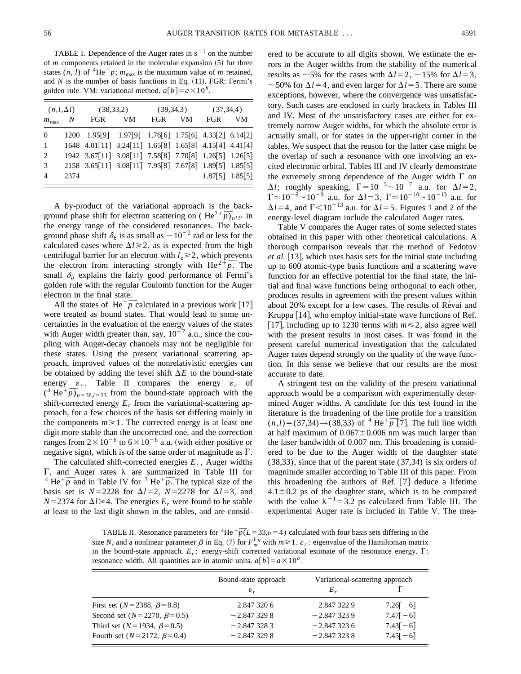TABLE I. Dependence of the Auger rates in  $s^{-1}$  on the number of  *components retained in the molecular expansion*  $(5)$  *for three* of *m* components retained in the molecular expansion (5) for three states  $(n, l)$  of <sup>4</sup>He <sup>+</sup> $\overline{p}$ ;  $m_{\text{max}}$  is the maximum value of *m* retained, and  $N$  is the number of basis functions in Eq.  $(11)$ . FGR: Fermi's golden rule. VM: variational method.  $a[b] = a \times 10^b$ .

| $(n, l, \Delta l)$ |      | (38, 33, 2)                                            |    | (39,34,3) |     | (37, 34, 4)         |           |
|--------------------|------|--------------------------------------------------------|----|-----------|-----|---------------------|-----------|
| $m_{\text{max}}$   | N    | FGR                                                    | VM | FGR       | VM. | <b>FGR</b>          | <b>VM</b> |
| $\theta$           |      | 1200 1.95[9] 1.97[9] 1.76[6] 1.75[6] 4.33[2] 6.14[2]   |    |           |     |                     |           |
| $\mathbf{1}$       |      | 1648 4.01[11] 3.24[11] 1.65[8] 1.65[8] 4.15[4] 4.41[4] |    |           |     |                     |           |
| 2                  |      | 1942 3.67[11] 3.08[11] 7.58[8] 7.70[8] 1.26[5] 1.26[5] |    |           |     |                     |           |
| 3                  |      | 2158 3.65[11] 3.08[11] 7.95[8] 7.67[8] 1.89[5] 1.85[5] |    |           |     |                     |           |
| $\overline{4}$     | 2374 |                                                        |    |           |     | $1.87[5]$ $1.85[5]$ |           |

A by-product of the variational approach is the back-A by-product of the variational approach is the back-<br>ground phase shift for electron scattering on ( $\text{He}^{2+} \overline{p}$ )<sub>*n'l'*</sub> in the energy range of the considered resonances. The background phase shift  $\delta_b$  is as small as  $\sim 10^{-2}$  rad or less for the calculated cases where  $\Delta l \ge 2$ , as is expected from the high centrifugal barrier for an electron with  $l_e \ge 2$ , which prevents centritugal barrier for an electron with  $l_e \ge 2$ , which prevents<br>the electron from interacting strongly with He<sup>2+</sup> $\bar{p}$ . The small  $\delta_b$  explains the fairly good performance of Fermi's golden rule with the regular Coulomb function for the Auger electron in the final state.

ctron in the final state.<br>All the states of  $He^+\bar{p}$  calculated in a previous work [17] were treated as bound states. That would lead to some uncertainties in the evaluation of the energy values of the states with Auger width greater than, say,  $10^{-7}$  a.u., since the coupling with Auger-decay channels may not be negligible for these states. Using the present variational scattering approach, improved values of the nonrelativistic energies can be obtained by adding the level shift  $\Delta E$  to the bound-state energy  $\varepsilon_r$ . Table II compares the energy  $\varepsilon_r$  of energy  $\varepsilon_r$ . Table II compares the energy  $\varepsilon_r$  or  $(4 \text{ He}^+ \overline{p})_{n=38,l=33}$  from the bound-state approach with the shift-corrected energy  $E_r$  from the variational-scattering approach, for a few choices of the basis set differing mainly in the components  $m \ge 1$ . The corrected energy is at least one digit more stable than the uncorrected one, and the correction ranges from  $2\times10^{-6}$  to  $6\times10^{-6}$  a.u. (with either positive or negative sign), which is of the same order of magnitude as  $\Gamma$ .

The calculated shift-corrected energies  $E_r$ , Auger widths  $\Gamma$ , and Auger rates  $\lambda$  are summarized in Table III for **1**, and Auger rates  $\lambda$  are summarized in Table III for  ${}^4$  He<sup>+</sup> $\overline{p}$  and in Table IV for  ${}^3$  He<sup>+</sup> $\overline{p}$ . The typical size of the basis set is  $N=2228$  for  $\Delta l=2$ ,  $N=2278$  for  $\Delta l=3$ , and  $N=2374$  for  $\Delta l \geq 4$ . The energies  $E_r$  were found to be stable at least to the last digit shown in the tables, and are consid-

ered to be accurate to all digits shown. We estimate the errors in the Auger widths from the stability of the numerical results as  $\sim$  5% for the cases with  $\Delta l$  = 2,  $\sim$  15% for  $\Delta l$  = 3,  $\sim$  50% for  $\Delta$ *l* = 4, and even larger for  $\Delta$ *l* = 5. There are some exceptions, however, where the convergence was unsatisfactory. Such cases are enclosed in curly brackets in Tables III and IV. Most of the unsatisfactory cases are either for extremely narrow Auger widths, for which the absolute error is actually small, or for states in the upper-right corner in the tables. We suspect that the reason for the latter case might be the overlap of such a resonance with one involving an excited electronic orbital. Tables III and IV clearly demonstrate the extremely strong dependence of the Auger width  $\Gamma$  on  $\Delta l$ ; roughly speaking,  $\Gamma \approx 10^{-5} \sim 10^{-7}$  a.u. for  $\Delta l = 2$ ,  $\Gamma \approx 10^{-6} \sim 10^{-9}$  a.u. for  $\Delta l = 3$ ,  $\Gamma \approx 10^{-10} \sim 10^{-13}$  a.u. for  $\Delta l = 4$ , and  $\Gamma < 10^{-13}$  a.u. for  $\Delta l = 5$ . Figures 1 and 2 of the energy-level diagram include the calculated Auger rates.

Table V compares the Auger rates of some selected states obtained in this paper with other theoretical calculations. A thorough comparison reveals that the method of Fedotov *et al.* [13], which uses basis sets for the initial state including up to 600 atomic-type basis functions and a scattering wave function for an effective potential for the final state, the initial and final wave functions being orthogonal to each other, produces results in agreement with the present values within about 20% except for a few cases. The results of Révai and Kruppa  $[14]$ , who employ initial-state wave functions of Ref. 17, including up to 1230 terms with  $m \le 2$ , also agree well with the present results in most cases. It was found in the present careful numerical investigation that the calculated Auger rates depend strongly on the quality of the wave function. In this sense we believe that our results are the most accurate to date.

A stringent test on the validity of the present variational approach would be a comparison with experimentally determined Auger widths. A candidate for this test found in the literature is the broadening of the line profile for a transition Interature is the broadening of the line profile for a transition  $(n,l) = (37,34)$  → (38,33) of <sup>4</sup> He<sup>+</sup> $\overline{p}$  [7]. The full line width at half maximum of  $0.067 \pm 0.006$  nm was much larger than the laser bandwidth of 0.007 nm. This broadening is considered to be due to the Auger width of the daughter state (38,33), since that of the parent state (37,34) is six orders of magnitude smaller according to Table III of this paper. From this broadening the authors of Ref.  $[7]$  deduce a lifetime  $4.1 \pm 0.2$  ps of the daughter state, which is to be compared with the value  $\lambda^{-1}$ =3.2 ps calculated from Table III. The experimental Auger rate is included in Table V. The mea-

TABLE II. Resonance parameters for <sup>4</sup>He<sup>+</sup> $\bar{p}(L=33, v=4)$  calculated with four basis sets differing in the size *N*, and a nonlinear parameter  $\beta$  in Eq. (7) for  $F_m^L$ <sup> $\eta$ </sup> with  $m \ge 1$ .  $\varepsilon_r$ : eigenvalue of the Hamiltonian matrix in the bound-state approach.  $E_r$ : energy-shift corrected variational estimate of the resonance energy.  $\Gamma$ : resonance width. All quantities are in atomic units.  $a[b] = a \times 10^b$ .

|                                           | Bound-state approach | Variational-scattering approach |            |  |
|-------------------------------------------|----------------------|---------------------------------|------------|--|
|                                           | $\varepsilon_{r}$    | $E_{r}$                         |            |  |
| First set ( $N = 2388$ , $\beta = 0.8$ )  | $-2.8473206$         | $-2.8473229$                    | $7.26[-6]$ |  |
| Second set $(N = 2270, \beta = 0.5)$      | $-2.8473298$         | $-2.8473239$                    | $7.47[-6]$ |  |
| Third set ( $N = 1934$ , $\beta = 0.5$ )  | $-2.8473283$         | $-2.8473236$                    | $7.43[-6]$ |  |
| Fourth set ( $N = 2172$ , $\beta = 0.4$ ) | $-2.8473298$         | $-2.8473238$                    | $7.45[-6]$ |  |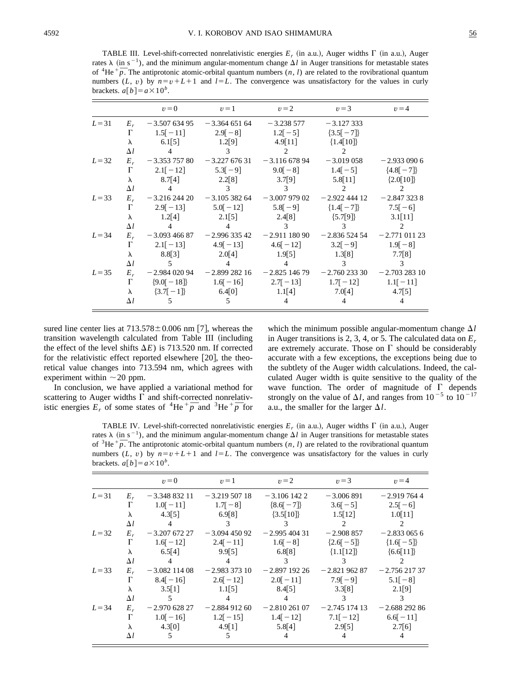TABLE III. Level-shift-corrected nonrelativistic energies  $E_r$  (in a.u.), Auger widths  $\Gamma$  (in a.u.), Auger rates  $\lambda$  (in s<sup>-1</sup>), and the minimum angular-momentum change  $\Delta l$  in Auger transitions for metastable states rates  $\lambda$  (in s  $\rightarrow$ ), and the minimum angular-momentum change  $\Delta l$  in Auger transitions for metastable states of <sup>4</sup>He  $\overline{p}$ . The antiprotonic atomic-orbital quantum numbers  $(n, l)$  are related to the rovibrational q numbers (*L*, *v*) by  $n=v+L+1$  and  $l=L$ . The convergence was unsatisfactory for the values in curly brackets.  $a[b] = a \times 10^b$ .

|          |            |                                                                  |                                     |                | $v=0$ $v=1$ $v=2$ $v=3$ $v=4$                                               |                |
|----------|------------|------------------------------------------------------------------|-------------------------------------|----------------|-----------------------------------------------------------------------------|----------------|
|          |            | $L=31$ $E_r$ $-3.50763495$ $-3.36465164$ $-3.238577$ $-3.127333$ |                                     |                |                                                                             |                |
|          |            | $\Gamma$ 1.5 $[-11]$ 2.9 $[-8]$ 1.2 $[-5]$ {3.5 $[-7]$ }         |                                     |                |                                                                             |                |
|          |            | $\lambda$ 6.1[5] 1.2[9] 4.9[11] {1.4[10]}                        |                                     |                |                                                                             |                |
|          | $\Delta l$ |                                                                  | 4 3 2                               |                | $\sim$ 2                                                                    |                |
| $L=32$   |            |                                                                  |                                     |                | $E_r$ -3.353 757 80 -3.227 676 31 -3.116 678 94 -3.019 058                  | $-2.9330906$   |
|          |            |                                                                  |                                     |                | $\Gamma$ 2.1[-12] 5.3[-9] 9.0[-8] 1.4[-5] $\{4.8[-7]\}$                     |                |
|          |            |                                                                  |                                     |                | $\lambda$ 8.7[4] 2.2[8] 3.7[9] 5.8[11] {2.0[10]}                            |                |
|          |            |                                                                  |                                     |                | $\Delta l$ 4 3 3 2 2                                                        |                |
| $L=33$   |            |                                                                  |                                     |                | $E_r$ -3.216 244 20 -3.105 382 64 -3.007 979 02 -2.922 444 12 -2.847 323 8  |                |
|          |            |                                                                  |                                     |                | $\Gamma$ 2.9[-13] 5.0[-12] 5.8[-9] $\{1.4[-7]\}$ 7.5[-6]                    |                |
|          |            |                                                                  |                                     |                | $\lambda$ 1.2[4] 2.1[5] 2.4[8] $\{5.7[9]\}$ 3.1[11]                         |                |
|          |            | $\Delta l$ 4                                                     | $4 \qquad \qquad 3 \qquad \qquad 3$ |                |                                                                             | $\overline{2}$ |
| $L = 34$ |            |                                                                  |                                     |                | $E_r$ -3.093 466 87 -2.996 335 42 -2.911 180 90 -2.836 524 54 -2.771 011 23 |                |
|          |            |                                                                  |                                     |                | $\Gamma$ 2.1[-13] 4.9[-13] 4.6[-12] 3.2[-9] 1.9[-8]                         |                |
|          |            |                                                                  |                                     |                | $\lambda$ 8.8[3] 2.0[4] 1.9[5] 1.3[8] 7.7[8]                                |                |
|          |            | $\Delta l$ 5                                                     | $\overline{4}$                      | $\sim$ 4       | $\frac{3}{3}$ 3                                                             |                |
| $L=35$   |            |                                                                  |                                     |                | $E_r$ -2.984 020 94 -2.899 282 16 -2.825 146 79 -2.760 233 30 -2.703 283 10 |                |
|          |            |                                                                  |                                     |                | $\Gamma$ {9.0[-18]} 1.6[-16] 2.7[-13] 1.7[-12] 1.1[-11]                     |                |
|          |            |                                                                  |                                     |                | $\lambda$ {3.7[-1]} 6.4[0] 1.1[4] 7.0[4] 4.7[5]                             |                |
|          | $\Delta l$ | $\overline{5}$                                                   | $\overline{5}$                      | $\overline{4}$ |                                                                             |                |

sured line center lies at  $713.578 \pm 0.006$  nm [7], whereas the transition wavelength calculated from Table III (including the effect of the level shifts  $\Delta E$ ) is 713.520 nm. If corrected for the relativistic effect reported elsewhere  $[20]$ , the theoretical value changes into 713.594 nm, which agrees with experiment within  $\sim$  20 ppm.

In conclusion, we have applied a variational method for scattering to Auger widths  $\Gamma$  and shift-corrected nonrelativistic energies  $E_r$  of some states of <sup>4</sup>He <sup>+</sup> $\overline{p}$  and <sup>3</sup>He <sup>+</sup> $\overline{p}$  for which the minimum possible angular-momentum change  $\Delta l$ in Auger transitions is 2, 3, 4, or 5. The calculated data on *Er* are extremely accurate. Those on  $\Gamma$  should be considerably accurate with a few exceptions, the exceptions being due to the subtlety of the Auger width calculations. Indeed, the calculated Auger width is quite sensitive to the quality of the wave function. The order of magnitude of  $\Gamma$  depends strongly on the value of  $\Delta l$ , and ranges from  $10^{-5}$  to  $10^{-17}$ a.u., the smaller for the larger  $\Delta l$ .

TABLE IV. Level-shift-corrected nonrelativistic energies  $E_r$  (in a.u.), Auger widths  $\Gamma$  (in a.u.), Auger rates  $\lambda$  (in s<sup>-1</sup>), and the minimum angular-momentum change  $\Delta l$  in Auger transitions for metastable states rates  $\lambda$  (in s  $\gamma$ ), and the minimum angular-momentum change  $\Delta t$  in Auger transitions for metastable states of <sup>3</sup>He  $\overline{p}$ . The antiprotonic atomic-orbital quantum numbers  $(n, l)$  are related to the rovibrational q numbers (*L*, *v*) by  $n=v+L+1$  and  $l=L$ . The convergence was unsatisfactory for the values in curly brackets.  $a[b] = a \times 10^b$ .

|          |            | $v=0$                                                       | $v=1$ $v=2$                                            |                          | $v=3$                               | $v=4$           |
|----------|------------|-------------------------------------------------------------|--------------------------------------------------------|--------------------------|-------------------------------------|-----------------|
| $L=31$   | $E_r$      |                                                             | $-3.34883211 - 3.21950718$                             | $-3.1061422$             | $-3.006891$                         | $-2.9197644$    |
|          | $\Gamma$   | $1.0[-11]$ $1.7[-8]$ $\{8.6[-7]\}$                          |                                                        |                          | $3.6[-5]$                           | $2.5[-6]$       |
|          | $\lambda$  |                                                             | $4.3[5]$ $6.9[8]$ $\{3.5[10]\}$ $1.5[12]$              |                          |                                     | 1.0[11]         |
|          | $\Delta l$ | $\overline{4}$                                              | $\overline{3}$                                         | $\overline{\mathbf{3}}$  | $\overline{2}$                      |                 |
| $L=32$   |            | $E_r$ -3.207 672 27 -3.094 450 92                           |                                                        | $-2.99540431$            | $-2.908857$                         | $-2.8330656$    |
|          | $\Gamma$   | $1.6[-12]$ $2.4[-11]$ $1.6[-8]$ $\{2.6[-5]\}$ $\{1.6[-5]\}$ |                                                        |                          |                                     |                 |
|          | $\lambda$  |                                                             | $6.5[4]$ 9.9[5] $6.8[8]$                               |                          | $\{1.1[12]\}$                       | ${6.6[11]}$     |
|          | $\Delta l$ | $\sim$ 4                                                    | $\overline{4}$                                         | $\overline{\mathcal{E}}$ | $\overline{\mathbf{3}}$             |                 |
| $L=33$   | $E_r$      | $-3.082$ 114 08                                             | $-2.983\,373\,10$                                      |                          | $-2.89719226 -2.82196287$           | $-2.75621737$   |
|          | $\Gamma$   | $8.4[-16]$ $2.6[-12]$ $2.0[-11]$ $7.9[-9]$                  |                                                        |                          |                                     | $5.1[-8]$       |
|          | $\lambda$  |                                                             | $3.5[1]$ $1.1[5]$ $8.4[5]$                             |                          |                                     | $3.3[8]$ 2.1[9] |
|          | $\Delta l$ | $\overline{5}$                                              |                                                        | $\sim$ 4                 | $\mathcal{E}$                       |                 |
| $L = 34$ | $E_r$      |                                                             | $-2.97062827 -2.88491260$                              |                          | $-2.810\,261\,07$ $-2.745\,174\,13$ | $-2.68829286$   |
|          | $\Gamma$   |                                                             | $1.0[-16]$ $1.2[-15]$ $1.4[-12]$ $7.1[-12]$ $6.6[-11]$ |                          |                                     |                 |
|          | $\lambda$  | 4.3[0]                                                      | 4.9[1]                                                 | 5.8[4]                   | 2.9[5]                              | 2.7[6]          |
|          | $\Delta l$ | 5                                                           | $\sim$                                                 | $\overline{4}$           | 4                                   |                 |
|          |            |                                                             |                                                        |                          |                                     |                 |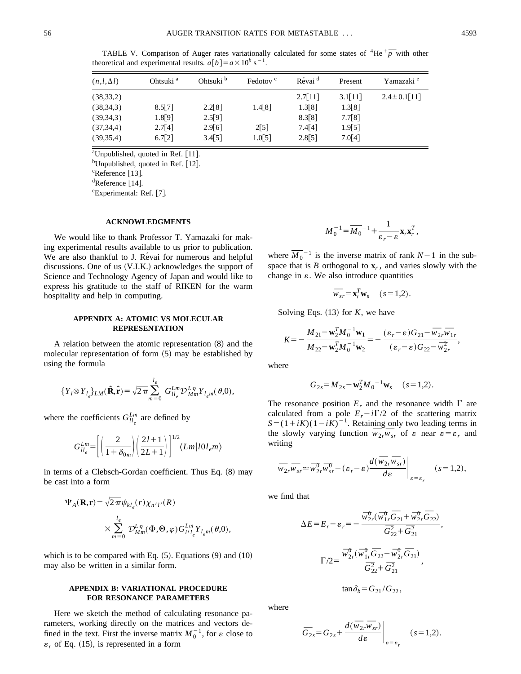TABLE V. Comparison of Auger rates variationally calculated for some states of  ${}^{4}$ He ${}^{+}\overline{p}$  with other theoretical and experimental results.  $a[b] = a \times 10^b$  s<sup>-1</sup>.

| $(n, l, \Delta l)$ | Ohtsuki <sup>a</sup> | Ohtsuki <sup>b</sup> | Fedotov <sup>c</sup> | Révai <sup>d</sup> | Present | Yamazaki <sup>e</sup> |
|--------------------|----------------------|----------------------|----------------------|--------------------|---------|-----------------------|
| (38, 33, 2)        |                      |                      |                      | 2.7[11]            | 3.1[11] | $2.4 \pm 0.1$ [11]    |
| (38, 34, 3)        | 8.5[7]               | 2.2[8]               | 1.4[8]               | 1.3[8]             | 1.3[8]  |                       |
| (39,34,3)          | 1.8[9]               | 2.5[9]               |                      | 8.3[8]             | 7.7[8]  |                       |
| (37, 34, 4)        | 2.7[4]               | 2.9[6]               | 2[5]                 | 7.4[4]             | 1.9[5]  |                       |
| (39, 35, 4)        | 6.7[2]               | 3.4[5]               | 1.0[5]               | 2.8[5]             | 7.0[4]  |                       |

<sup>a</sup>Unpublished, quoted in Ref. [11].

<sup>b</sup>Unpublished, quoted in Ref. [12].

 $c$ Reference [13].

<sup>d</sup>Reference [14].

<sup>e</sup>Experimental: Ref. [7].

#### **ACKNOWLEDGMENTS**

We would like to thank Professor T. Yamazaki for making experimental results available to us prior to publication. We are also thankful to J. Révai for numerous and helpful discussions. One of us  $(V.I.K.)$  acknowledges the support of Science and Technology Agency of Japan and would like to express his gratitude to the staff of RIKEN for the warm hospitality and help in computing.

## **APPENDIX A: ATOMIC VS MOLECULAR REPRESENTATION**

A relation between the atomic representation  $(8)$  and the molecular representation of form  $(5)$  may be established by using the formula

$$
\{Y_l \otimes Y_{l_e}\}_{LM}(\hat{\mathbf{R}}, \hat{\mathbf{r}}) = \sqrt{2\pi} \sum_{m=0}^{l_e} G_{ll_e}^{Lm} \mathcal{D}_{Mm}^{L\eta} Y_{l_e m}(\theta, 0),
$$

where the coefficients  $G_{ll_e}^{Lm}$  are defined by

$$
G_{ll_e}^{Lm} = \left[ \left( \frac{2}{1 + \delta_{0m}} \right) \left( \frac{2l+1}{2L+1} \right) \right]^{1/2} \langle Lm | l0l_e m \rangle
$$

in terms of a Clebsch-Gordan coefficient. Thus Eq.  $(8)$  may be cast into a form

$$
\Psi_A(\mathbf{R}, \mathbf{r}) = \sqrt{2\pi} \psi_{kl_e}(r) \chi_{n'l'}(R)
$$
  
 
$$
\times \sum_{m=0}^{l_e} \mathcal{D}_{Mm}^{L\eta}(\Phi, \Theta, \varphi) G_{l'l_e}^{Lm} Y_{l_e m}(\theta, 0),
$$

which is to be compared with Eq.  $(5)$ . Equations  $(9)$  and  $(10)$ may also be written in a similar form.

## **APPENDIX B: VARIATIONAL PROCEDURE FOR RESONANCE PARAMETERS**

Here we sketch the method of calculating resonance parameters, working directly on the matrices and vectors defined in the text. First the inverse matrix  $M_0^{-1}$ , for  $\varepsilon$  close to  $\varepsilon_r$  of Eq. (15), is represented in a form

$$
M_0^{-1} = \overline{M_0}^{-1} + \frac{1}{\varepsilon_r - \varepsilon} \mathbf{x}_r \mathbf{x}_r^T,
$$

where  $\overline{M_0}^{-1}$  is the inverse matrix of rank  $N-1$  in the subspace that is  $B$  orthogonal to  $\mathbf{x}_r$ , and varies slowly with the change in  $\varepsilon$ . We also introduce quantities

$$
\overline{w}_{sr} = \mathbf{x}_r^T \mathbf{w}_s \quad (s = 1, 2).
$$

Solving Eqs.  $(13)$  for *K*, we have

$$
K = -\frac{M_{21} - \mathbf{w}_2^T M_0^{-1} \mathbf{w}_1}{M_{22} - \mathbf{w}_2^T M_0^{-1} \mathbf{w}_2} = -\frac{(\varepsilon_r - \varepsilon) G_{21} - \overline{w}_{2r} \overline{w}_{1r}}{(\varepsilon_r - \varepsilon) G_{22} - \overline{w}_{2r}^2},
$$

where

$$
G_{2s} = M_{2s} - \mathbf{w}_2^T \overline{M_0}^{-1} \mathbf{w}_s \quad (s = 1, 2).
$$

The resonance position  $E_r$  and the resonance width  $\Gamma$  are calculated from a pole  $E_r - i\Gamma/2$  of the scattering matrix  $S=(1+iK)(1-iK)^{-1}$ . Retaining only two leading terms in the slowly varying function  $\overline{w}_{2r}\overline{w}_{sr}$  of  $\varepsilon$  near  $\varepsilon = \varepsilon_r$  and writing

$$
\overline{w}_{2r}\overline{w}_{sr} \simeq \overline{w}_{2r}^{0}\overline{w}_{sr}^{0} - (\varepsilon_r - \varepsilon) \frac{d(\overline{w}_{2r}\overline{w}_{sr})}{d\varepsilon}\bigg|_{\varepsilon = \varepsilon_r} \quad (s = 1, 2),
$$

we find that

$$
\Delta E = E_r - \varepsilon_r = -\frac{\overline{w}_{2r}^0(\overline{w}_{1r}^0 \overline{G}_{21} + \overline{w}_{2r}^0 \overline{G}_{22})}{\overline{G}_{22}^2 + \overline{G}_{21}^2},
$$

$$
\Gamma/2 = \frac{\overline{w}_{2r}^0(\overline{w}_{1r}^0 \overline{G}_{22} - \overline{w}_{2r}^0 \overline{G}_{21})}{\overline{G}_{22}^2 + \overline{G}_{21}^2},
$$

$$
\tan \delta_b = G_{21}/G_{22},
$$

where

$$
\overline{G}_{2s} = G_{2s} + \frac{d(\overline{w}_{2r}\overline{w}_{sr})}{d\varepsilon}\Big|_{\varepsilon = \varepsilon_r} \quad (s = 1, 2).
$$